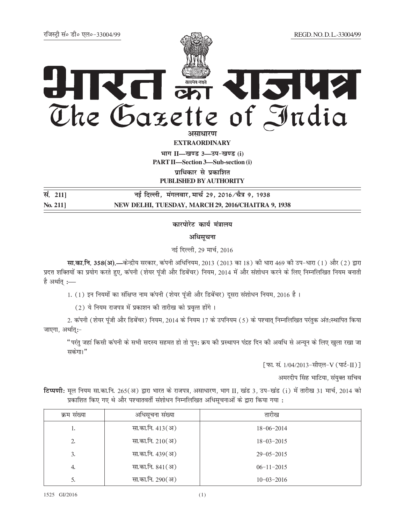## IRCI ETRISLE

<mark>असाधारण</mark> **EXTRAORDINARY**

**Hkkx II—[k.M 3—mi&[k.M (i) PART II—Section 3—Sub-section (i) yifter and your find the vertex of the vertex of the vertex of the vertex in the vertex the vertex in the vertex** 

**PUBLISHED BY AUTHORITY**

**la- 211] ubZ fnYyh] eaxyokj] ekpZ 29] 2016@pS=k 9] 1938 No. 211] NEW DELHI, TUESDAY, MARCH 29, 2016/CHAITRA 9, 1938**

<u>कारपोरेट कार्य मंत्रालय</u>

अधिसूचना

नई दिल्ली, 29 मार्च, 2016

**सा.का.नि. 358(अ).—केन्द्रीय सरकार, कंपनी अधिनियम, 2013 (2013 का 18) की धारा 469 की उप-धारा (1) और (2) द्वारा** प्रदत्त शक्तियों का प्रयोग करते हुए, कंपनी (शेयर पूंजी और डिबेंचर) नियम, 2014 में और संशोधन करने के लिए निम्नलिखित नियम बनाती है अर्थात् :—

1. (1) इन नियमों का संक्षिप्त नाम कंपनी (शेयर पूंजी और डिबेंचर) दूसरा संशोधन नियम, 2016 है।

 $(2)$  ये नियम राजपत्र में प्रकाशन की तारीख को प्रवृत्त होंगे।

2. कंपनी (शेयर पूंजी और डिबेंचर) नियम, 2014 के नियम 17 के उपनियम (5) के पश्चात् निम्नलिखित परंतुक अंत:स्थापित किया जाएगा, अर्थात् $:$ -

"परंतु जहां किसी कंपनी के सभी सदस्य सहमत हो तो पुन: क्रय की प्रस्थापन पंद्रह दिन की अवधि से अन्यन के लिए खुला रखा जा सकेगा।"

[फ़ा. सं. 1/04/2013-सीएल-V (पार्ट-II) ]

अमरदीप सिंह भाटिया, संयुक्त सचिव

**fcwणी:** मूल नियम सा.का.नि. 265(अ) द्वारा भारत के राजपत्र, असाधारण, भाग II, खंड 3, उप-खंड (i) में तारीख 31 मार्च, 2014 को प्रकाशित किए गए थे और पश्चातवर्ती संशोधन निम्नलिखित अधिसूचनाओं के द्वारा किया गया :

| क्रम संख्या | अधिसूचना संख्या  | तारीख            |
|-------------|------------------|------------------|
| 1.          | सा.का.नि. 413(अ) | $18 - 06 - 2014$ |
| 2.          | सा.का.नि. 210(अ) | $18 - 03 - 2015$ |
| 3.          | सा.का.नि. 439(अ) | $29 - 05 - 2015$ |
| 4.          | सा.का.नि. 841(अ) | $06 - 11 - 2015$ |
| 5.          | सा.का.नि. 290(अ) | $10 - 03 - 2016$ |